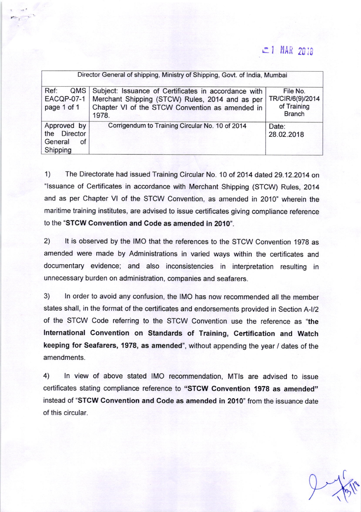## $r = 1$  MAR 2018

| Director General of shipping, Ministry of Shipping, Govt. of India, Mumbai |                                                                                                                                                                     |                                                              |
|----------------------------------------------------------------------------|---------------------------------------------------------------------------------------------------------------------------------------------------------------------|--------------------------------------------------------------|
| Ref:<br>QMS<br><b>EACQP-07-1</b><br>page 1 of 1                            | Subject: Issuance of Certificates in accordance with<br>Merchant Shipping (STCW) Rules, 2014 and as per<br>Chapter VI of the STCW Convention as amended in<br>1978. | File No.<br>TR/CIR/6(9)/2014<br>of Training<br><b>Branch</b> |
| Approved by<br>the Director<br>General<br>of<br>Shipping                   | Corrigendum to Training Circular No. 10 of 2014                                                                                                                     | Date:<br>28.02.2018                                          |

1) The Directorate had issued Training Circular No. 10 of 2014 dated 29.12.2014 on "Issuance of Certificates in accordance with Merchant Shipping (STCW) Rules, 2014 and as per Chapter Vl of the STCW Convention, as amended in 2010" wherein the maritime training institutes, are advised to issue certificates giving compliance reference to the 'STCW Convention and Code as amended in 2010'.

2) lt is observed by the IMO that the references to the STCW Convention 1978 as amended were made by Administrations in varied ways within the certificates and documentary evidence; and also inconsistencies in interpretation resulting in unnecessary burden on administration, companies and seafarers.

3) ln order to avoid any confusion, the IMO has now recommended all the member states shall, in the format of the certificates and endorsements provided in Section A-l/2 of the STCW Code referring to the STCW Convention use the reference as "the International Convention on Standards of Training, Certification and Watch keeping for Seafarers, 1978, as amended", without appending the year / dates of the amendments.

4) ln view of above stated IMO recommendation, MTls are advised to issue certificates stating compliance reference to "STCW Convention 1978 as amended" instead of "STCW Convention and Code as amended in 2010" from the issuance date of this circular.

 $9618$